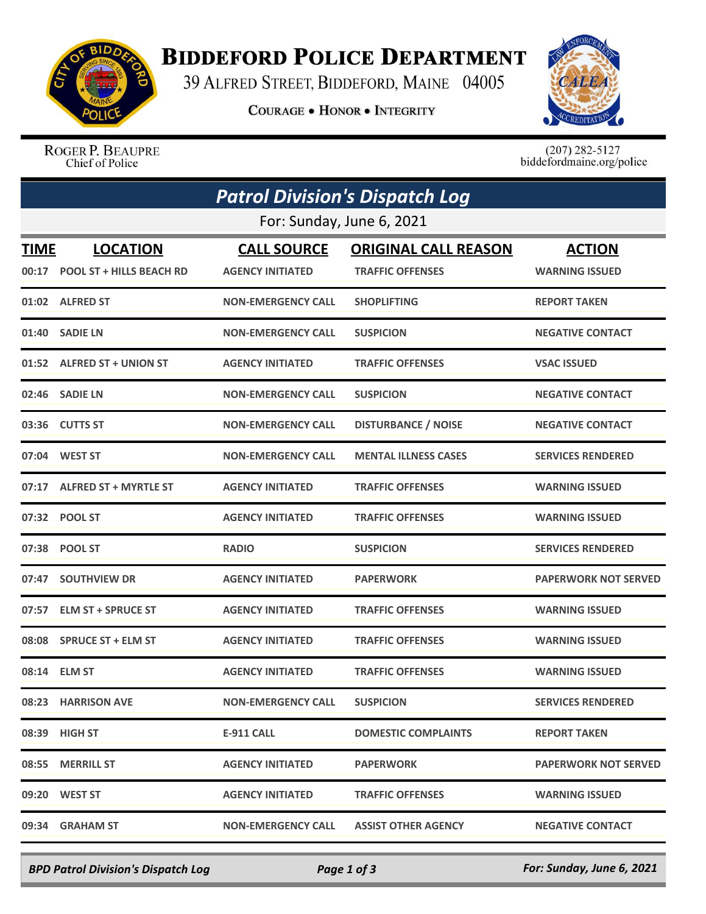

## **BIDDEFORD POLICE DEPARTMENT**

39 ALFRED STREET, BIDDEFORD, MAINE 04005

**COURAGE . HONOR . INTEGRITY** 



ROGER P. BEAUPRE Chief of Police

 $(207)$  282-5127<br>biddefordmaine.org/police

| <b>Patrol Division's Dispatch Log</b> |                                                    |                                               |                                                        |                                        |  |  |  |
|---------------------------------------|----------------------------------------------------|-----------------------------------------------|--------------------------------------------------------|----------------------------------------|--|--|--|
| For: Sunday, June 6, 2021             |                                                    |                                               |                                                        |                                        |  |  |  |
| TIME<br>00:17                         | <b>LOCATION</b><br><b>POOL ST + HILLS BEACH RD</b> | <b>CALL SOURCE</b><br><b>AGENCY INITIATED</b> | <b>ORIGINAL CALL REASON</b><br><b>TRAFFIC OFFENSES</b> | <b>ACTION</b><br><b>WARNING ISSUED</b> |  |  |  |
|                                       | 01:02 ALFRED ST                                    | <b>NON-EMERGENCY CALL</b>                     | <b>SHOPLIFTING</b>                                     | <b>REPORT TAKEN</b>                    |  |  |  |
| 01:40                                 | <b>SADIE LN</b>                                    | <b>NON-EMERGENCY CALL</b>                     | <b>SUSPICION</b>                                       | <b>NEGATIVE CONTACT</b>                |  |  |  |
|                                       | 01:52 ALFRED ST + UNION ST                         | <b>AGENCY INITIATED</b>                       | <b>TRAFFIC OFFENSES</b>                                | <b>VSAC ISSUED</b>                     |  |  |  |
| 02:46                                 | <b>SADIE LN</b>                                    | <b>NON-EMERGENCY CALL</b>                     | <b>SUSPICION</b>                                       | <b>NEGATIVE CONTACT</b>                |  |  |  |
| 03:36                                 | <b>CUTTS ST</b>                                    | <b>NON-EMERGENCY CALL</b>                     | <b>DISTURBANCE / NOISE</b>                             | <b>NEGATIVE CONTACT</b>                |  |  |  |
| 07:04                                 | <b>WEST ST</b>                                     | <b>NON-EMERGENCY CALL</b>                     | <b>MENTAL ILLNESS CASES</b>                            | <b>SERVICES RENDERED</b>               |  |  |  |
| 07:17                                 | <b>ALFRED ST + MYRTLE ST</b>                       | <b>AGENCY INITIATED</b>                       | <b>TRAFFIC OFFENSES</b>                                | <b>WARNING ISSUED</b>                  |  |  |  |
|                                       | 07:32 POOL ST                                      | <b>AGENCY INITIATED</b>                       | <b>TRAFFIC OFFENSES</b>                                | <b>WARNING ISSUED</b>                  |  |  |  |
| 07:38                                 | <b>POOL ST</b>                                     | <b>RADIO</b>                                  | <b>SUSPICION</b>                                       | <b>SERVICES RENDERED</b>               |  |  |  |
| 07:47                                 | <b>SOUTHVIEW DR</b>                                | <b>AGENCY INITIATED</b>                       | <b>PAPERWORK</b>                                       | <b>PAPERWORK NOT SERVED</b>            |  |  |  |
| 07:57                                 | <b>ELM ST + SPRUCE ST</b>                          | <b>AGENCY INITIATED</b>                       | <b>TRAFFIC OFFENSES</b>                                | <b>WARNING ISSUED</b>                  |  |  |  |
| 08:08                                 | <b>SPRUCE ST + ELM ST</b>                          | <b>AGENCY INITIATED</b>                       | <b>TRAFFIC OFFENSES</b>                                | <b>WARNING ISSUED</b>                  |  |  |  |
|                                       | 08:14 ELM ST                                       | <b>AGENCY INITIATED</b>                       | <b>TRAFFIC OFFENSES</b>                                | <b>WARNING ISSUED</b>                  |  |  |  |
|                                       | 08:23 HARRISON AVE                                 | <b>NON-EMERGENCY CALL</b>                     | <b>SUSPICION</b>                                       | <b>SERVICES RENDERED</b>               |  |  |  |
|                                       | 08:39 HIGH ST                                      | <b>E-911 CALL</b>                             | <b>DOMESTIC COMPLAINTS</b>                             | <b>REPORT TAKEN</b>                    |  |  |  |
|                                       | 08:55 MERRILL ST                                   | <b>AGENCY INITIATED</b>                       | <b>PAPERWORK</b>                                       | <b>PAPERWORK NOT SERVED</b>            |  |  |  |
|                                       | 09:20 WEST ST                                      | <b>AGENCY INITIATED</b>                       | <b>TRAFFIC OFFENSES</b>                                | <b>WARNING ISSUED</b>                  |  |  |  |
| 09:34                                 | <b>GRAHAM ST</b>                                   | <b>NON-EMERGENCY CALL</b>                     | <b>ASSIST OTHER AGENCY</b>                             | <b>NEGATIVE CONTACT</b>                |  |  |  |

*BPD Patrol Division's Dispatch Log Page 1 of 3 For: Sunday, June 6, 2021*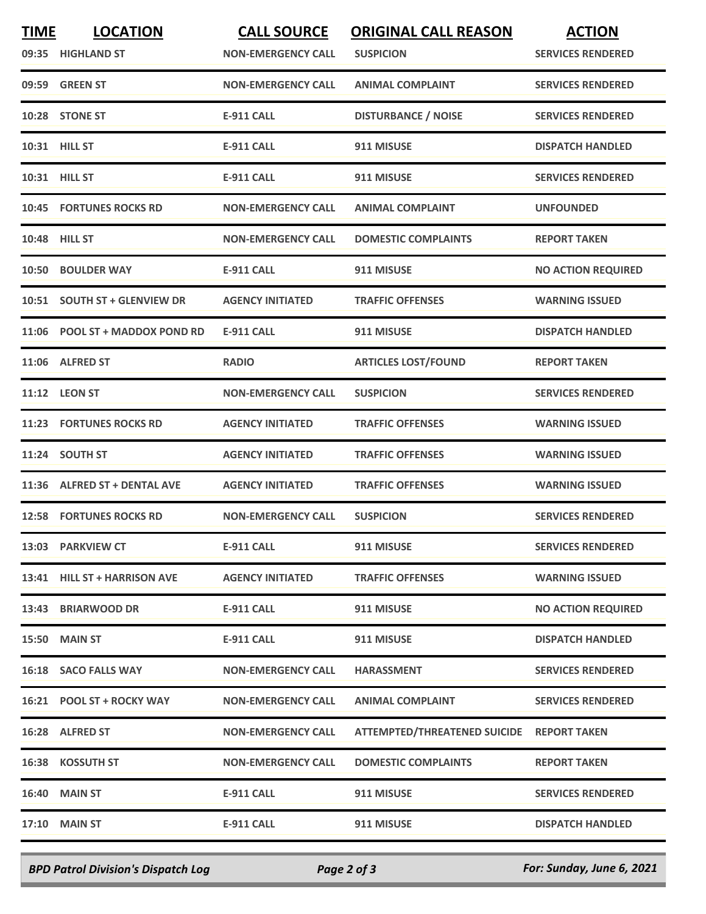| <b>TIME</b> | <b>LOCATION</b>                | <b>CALL SOURCE</b>        | <b>ORIGINAL CALL REASON</b>               | <b>ACTION</b>             |
|-------------|--------------------------------|---------------------------|-------------------------------------------|---------------------------|
|             | 09:35 HIGHLAND ST              | <b>NON-EMERGENCY CALL</b> | <b>SUSPICION</b>                          | <b>SERVICES RENDERED</b>  |
|             | 09:59 GREEN ST                 | <b>NON-EMERGENCY CALL</b> | <b>ANIMAL COMPLAINT</b>                   | <b>SERVICES RENDERED</b>  |
|             | 10:28 STONE ST                 | <b>E-911 CALL</b>         | <b>DISTURBANCE / NOISE</b>                | <b>SERVICES RENDERED</b>  |
|             | 10:31 HILL ST                  | <b>E-911 CALL</b>         | 911 MISUSE                                | <b>DISPATCH HANDLED</b>   |
|             | 10:31 HILL ST                  | <b>E-911 CALL</b>         | 911 MISUSE                                | <b>SERVICES RENDERED</b>  |
|             | <b>10:45 FORTUNES ROCKS RD</b> | <b>NON-EMERGENCY CALL</b> | <b>ANIMAL COMPLAINT</b>                   | <b>UNFOUNDED</b>          |
|             | 10:48 HILL ST                  | <b>NON-EMERGENCY CALL</b> | <b>DOMESTIC COMPLAINTS</b>                | <b>REPORT TAKEN</b>       |
|             | 10:50 BOULDER WAY              | <b>E-911 CALL</b>         | 911 MISUSE                                | <b>NO ACTION REQUIRED</b> |
| 10:51       | <b>SOUTH ST + GLENVIEW DR</b>  | <b>AGENCY INITIATED</b>   | <b>TRAFFIC OFFENSES</b>                   | <b>WARNING ISSUED</b>     |
|             | 11:06 POOL ST + MADDOX POND RD | <b>E-911 CALL</b>         | 911 MISUSE                                | <b>DISPATCH HANDLED</b>   |
|             | 11:06 ALFRED ST                | <b>RADIO</b>              | <b>ARTICLES LOST/FOUND</b>                | <b>REPORT TAKEN</b>       |
|             | 11:12 LEON ST                  | <b>NON-EMERGENCY CALL</b> | <b>SUSPICION</b>                          | <b>SERVICES RENDERED</b>  |
|             | <b>11:23 FORTUNES ROCKS RD</b> | <b>AGENCY INITIATED</b>   | <b>TRAFFIC OFFENSES</b>                   | <b>WARNING ISSUED</b>     |
|             | 11:24 SOUTH ST                 | <b>AGENCY INITIATED</b>   | <b>TRAFFIC OFFENSES</b>                   | <b>WARNING ISSUED</b>     |
|             | 11:36 ALFRED ST + DENTAL AVE   | <b>AGENCY INITIATED</b>   | <b>TRAFFIC OFFENSES</b>                   | <b>WARNING ISSUED</b>     |
|             | <b>12:58 FORTUNES ROCKS RD</b> | <b>NON-EMERGENCY CALL</b> | <b>SUSPICION</b>                          | <b>SERVICES RENDERED</b>  |
|             | 13:03 PARKVIEW CT              | <b>E-911 CALL</b>         | 911 MISUSE                                | <b>SERVICES RENDERED</b>  |
|             | 13:41 HILL ST + HARRISON AVE   | <b>AGENCY INITIATED</b>   | <b>TRAFFIC OFFENSES</b>                   | <b>WARNING ISSUED</b>     |
|             | 13:43 BRIARWOOD DR             | E-911 CALL                | 911 MISUSE                                | <b>NO ACTION REQUIRED</b> |
|             | <b>15:50 MAIN ST</b>           | <b>E-911 CALL</b>         | 911 MISUSE                                | <b>DISPATCH HANDLED</b>   |
|             | 16:18 SACO FALLS WAY           | <b>NON-EMERGENCY CALL</b> | <b>HARASSMENT</b>                         | <b>SERVICES RENDERED</b>  |
|             | 16:21 POOL ST + ROCKY WAY      | <b>NON-EMERGENCY CALL</b> | <b>ANIMAL COMPLAINT</b>                   | <b>SERVICES RENDERED</b>  |
|             | 16:28 ALFRED ST                | <b>NON-EMERGENCY CALL</b> | ATTEMPTED/THREATENED SUICIDE REPORT TAKEN |                           |
|             | 16:38 KOSSUTH ST               | <b>NON-EMERGENCY CALL</b> | <b>DOMESTIC COMPLAINTS</b>                | <b>REPORT TAKEN</b>       |
|             | <b>16:40 MAIN ST</b>           | <b>E-911 CALL</b>         | 911 MISUSE                                | <b>SERVICES RENDERED</b>  |
|             | <b>17:10 MAIN ST</b>           | E-911 CALL                | 911 MISUSE                                | <b>DISPATCH HANDLED</b>   |
|             |                                |                           |                                           |                           |

*BPD Patrol Division's Dispatch Log Page 2 of 3 For: Sunday, June 6, 2021*